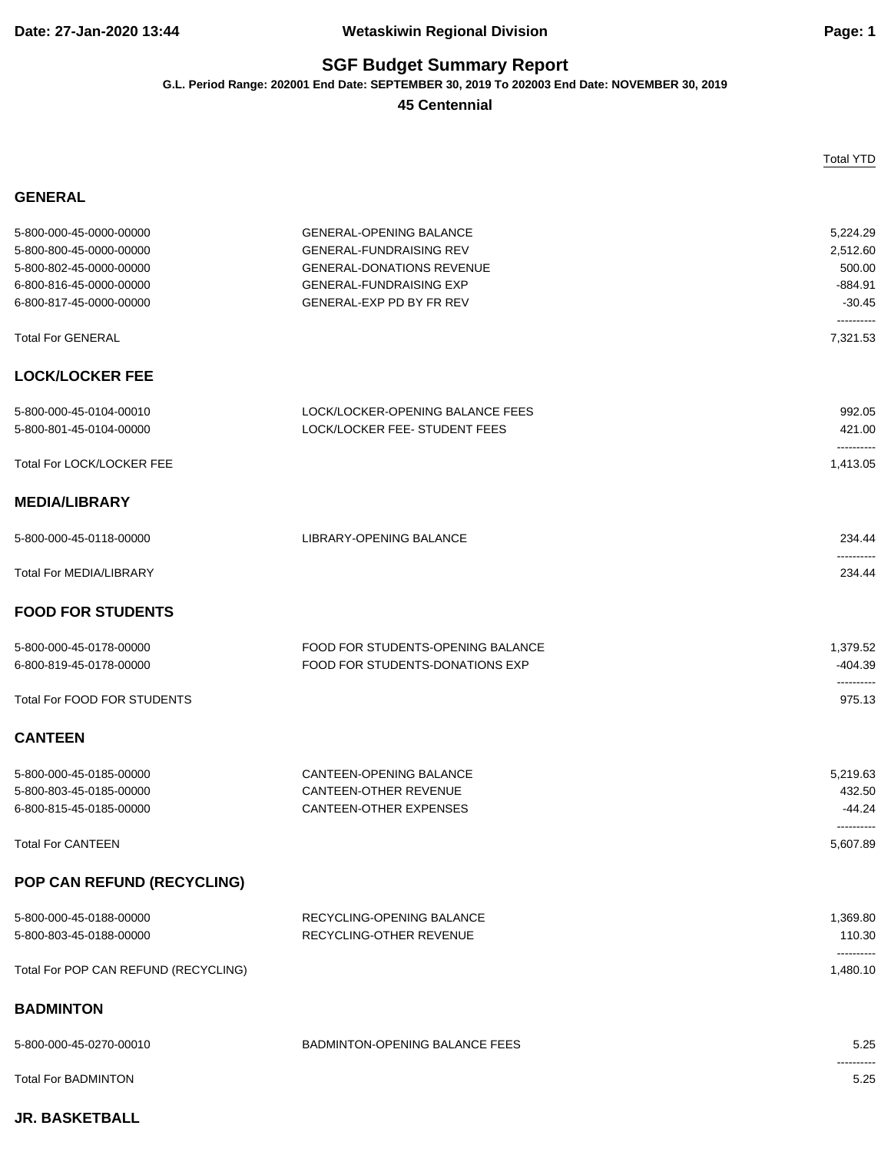## **SGF Budget Summary Report**

**G.L. Period Range: 202001 End Date: SEPTEMBER 30, 2019 To 202003 End Date: NOVEMBER 30, 2019**

**45 Centennial**

|                                                                                                                                     |                                                                                                                                                                    | <b>Total YTD</b>                                                      |
|-------------------------------------------------------------------------------------------------------------------------------------|--------------------------------------------------------------------------------------------------------------------------------------------------------------------|-----------------------------------------------------------------------|
| <b>GENERAL</b>                                                                                                                      |                                                                                                                                                                    |                                                                       |
| 5-800-000-45-0000-00000<br>5-800-800-45-0000-00000<br>5-800-802-45-0000-00000<br>6-800-816-45-0000-00000<br>6-800-817-45-0000-00000 | <b>GENERAL-OPENING BALANCE</b><br><b>GENERAL-FUNDRAISING REV</b><br><b>GENERAL-DONATIONS REVENUE</b><br><b>GENERAL-FUNDRAISING EXP</b><br>GENERAL-EXP PD BY FR REV | 5,224.29<br>2,512.60<br>500.00<br>$-884.91$<br>$-30.45$<br>---------- |
| <b>Total For GENERAL</b>                                                                                                            |                                                                                                                                                                    | 7,321.53                                                              |
| <b>LOCK/LOCKER FEE</b>                                                                                                              |                                                                                                                                                                    |                                                                       |
| 5-800-000-45-0104-00010<br>5-800-801-45-0104-00000                                                                                  | LOCK/LOCKER-OPENING BALANCE FEES<br>LOCK/LOCKER FEE- STUDENT FEES                                                                                                  | 992.05<br>421.00<br>----------                                        |
| Total For LOCK/LOCKER FEE                                                                                                           |                                                                                                                                                                    | 1,413.05                                                              |
| <b>MEDIA/LIBRARY</b>                                                                                                                |                                                                                                                                                                    |                                                                       |
| 5-800-000-45-0118-00000                                                                                                             | <b>LIBRARY-OPENING BALANCE</b>                                                                                                                                     | 234.44                                                                |
| <b>Total For MEDIA/LIBRARY</b>                                                                                                      |                                                                                                                                                                    | 234.44                                                                |
| <b>FOOD FOR STUDENTS</b>                                                                                                            |                                                                                                                                                                    |                                                                       |
| 5-800-000-45-0178-00000<br>6-800-819-45-0178-00000                                                                                  | FOOD FOR STUDENTS-OPENING BALANCE<br>FOOD FOR STUDENTS-DONATIONS EXP                                                                                               | 1,379.52<br>$-404.39$<br>----------                                   |
| <b>Total For FOOD FOR STUDENTS</b>                                                                                                  |                                                                                                                                                                    | 975.13                                                                |
| <b>CANTEEN</b>                                                                                                                      |                                                                                                                                                                    |                                                                       |
| 5-800-000-45-0185-00000<br>5-800-803-45-0185-00000<br>6-800-815-45-0185-00000                                                       | CANTEEN-OPENING BALANCE<br><b>CANTEEN-OTHER REVENUE</b><br><b>CANTEEN-OTHER EXPENSES</b>                                                                           | 5,219.63<br>432.50<br>$-44.24$                                        |
| <b>Total For CANTEEN</b>                                                                                                            |                                                                                                                                                                    | 5,607.89                                                              |
| POP CAN REFUND (RECYCLING)                                                                                                          |                                                                                                                                                                    |                                                                       |
| 5-800-000-45-0188-00000<br>5-800-803-45-0188-00000                                                                                  | RECYCLING-OPENING BALANCE<br>RECYCLING-OTHER REVENUE                                                                                                               | 1,369.80<br>110.30<br>----------                                      |
| Total For POP CAN REFUND (RECYCLING)                                                                                                |                                                                                                                                                                    | 1,480.10                                                              |
| <b>BADMINTON</b>                                                                                                                    |                                                                                                                                                                    |                                                                       |
| 5-800-000-45-0270-00010                                                                                                             | BADMINTON-OPENING BALANCE FEES                                                                                                                                     | 5.25                                                                  |
| <b>Total For BADMINTON</b>                                                                                                          |                                                                                                                                                                    | 5.25                                                                  |

## **JR. BASKETBALL**